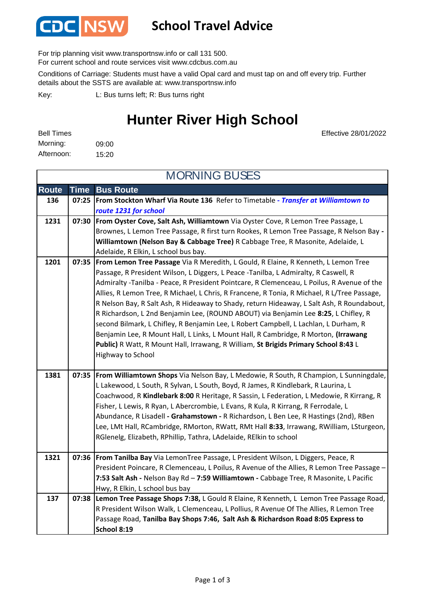

### **School Travel Advice**

For trip planning visit www.transportnsw.info or call 131 500.

For current school and route services visit www.cdcbus.com.au

Conditions of Carriage: Students must have a valid Opal card and must tap on and off every trip. Further details about the SSTS are available at: www.transportnsw.info

L: Bus turns left; R: Bus turns right Key:

## **Hunter River High School**

Effective 28/01/2022

09:00 15:20 Afternoon: Bell Times Morning:

**Route Time Bus Route 136 07:25 From Stockton Wharf Via Route 136** Refer to Timetable **-** *Transfer at Williamtown to route 1231 for school* **1231 07:30 From Oyster Cove, Salt Ash, Williamtown** Via Oyster Cove, R Lemon Tree Passage, L Brownes, L Lemon Tree Passage, R first turn Rookes, R Lemon Tree Passage, R Nelson Bay **- Williamtown (Nelson Bay & Cabbage Tree)** R Cabbage Tree, R Masonite, Adelaide, L Adelaide, R Elkin, L school bus bay. **1201 07:35 From Lemon Tree Passage** Via R Meredith, L Gould, R Elaine, R Kenneth, L Lemon Tree Passage, R President Wilson, L Diggers, L Peace -Tanilba, L Admiralty, R Caswell, R Admiralty -Tanilba - Peace, R President Pointcare, R Clemenceau, L Poilus, R Avenue of the Allies, R Lemon Tree, R Michael, L Chris, R Francene, R Tonia, R Michael, R L/Tree Passage, R Nelson Bay, R Salt Ash, R Hideaway to Shady, return Hideaway, L Salt Ash, R Roundabout, R Richardson, L 2nd Benjamin Lee, (ROUND ABOUT) via Benjamin Lee **8:25**, L Chifley, R second Bilmark, L Chifley, R Benjamin Lee, L Robert Campbell, L Lachlan, L Durham, R Benjamin Lee, R Mount Hall, L Links, L Mount Hall, R Cambridge, R Morton, **(Irrawang Public)** R Watt, R Mount Hall, Irrawang, R William, **St Brigids Primary School 8:43** L Highway to School **1381 07:35 From Williamtown Shops** Via Nelson Bay, L Medowie, R South, R Champion, L Sunningdale, L Lakewood, L South, R Sylvan, L South, Boyd, R James, R Kindlebark, R Laurina, L Coachwood, R **Kindlebark 8:00** R Heritage, R Sassin, L Federation, L Medowie, R Kirrang, R Fisher, L Lewis, R Ryan, L Abercrombie, L Evans, R Kula, R Kirrang, R Ferrodale, L Abundance, R Lisadell **- Grahamstown -** R Richardson, L Ben Lee, R Hastings (2nd), RBen Lee, LMt Hall, RCambridge, RMorton, RWatt, RMt Hall **8:33**, Irrawang, RWilliam, LSturgeon, RGlenelg, Elizabeth, RPhillip, Tathra, LAdelaide, RElkin to school **1321 07:36 From Tanilba Bay** Via LemonTree Passage, L President Wilson, L Diggers, Peace, R President Poincare, R Clemenceau, L Poilus, R Avenue of the Allies, R Lemon Tree Passage – **7:53 Salt Ash -** Nelson Bay Rd – **7:59 Williamtown -** Cabbage Tree, R Masonite, L Pacific Hwy, R Elkin, L school bus bay **137 07:38 Lemon Tree Passage Shops 7:38,** L Gould R Elaine, R Kenneth, L Lemon Tree Passage Road, R President Wilson Walk, L Clemenceau, L Pollius, R Avenue Of The Allies, R Lemon Tree Passage Road, **Tanilba Bay Shops 7:46, Salt Ash & Richardson Road 8:05 Express to School 8:19** MORNING BUSES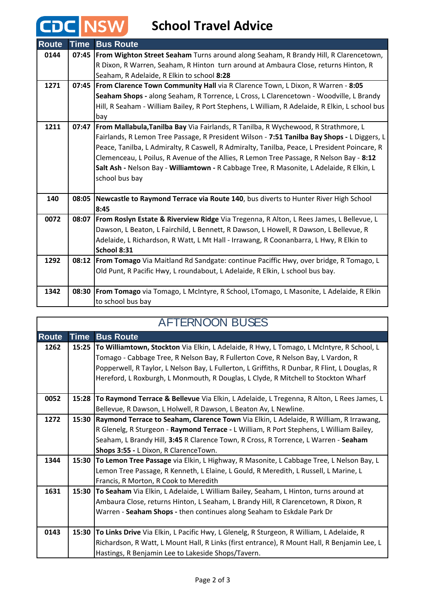## **School Travel Advice**

CDC NSW

| <b>Route</b> | Time  | <b>Bus Route</b>                                                                               |
|--------------|-------|------------------------------------------------------------------------------------------------|
| 0144         | 07:45 | <b>From Wighton Street Seaham</b> Turns around along Seaham, R Brandy Hill, R Clarencetown,    |
|              |       | R Dixon, R Warren, Seaham, R Hinton turn around at Ambaura Close, returns Hinton, R            |
|              |       | Seaham, R Adelaide, R Elkin to school 8:28                                                     |
| 1271         |       | 07:45   From Clarence Town Community Hall via R Clarence Town, L Dixon, R Warren - 8:05        |
|              |       | Seaham Shops - along Seaham, R Torrence, L Cross, L Clarencetown - Woodville, L Brandy         |
|              |       | Hill, R Seaham - William Bailey, R Port Stephens, L William, R Adelaide, R Elkin, L school bus |
|              |       | bay                                                                                            |
| 1211         | 07:47 | From Mallabula, Tanilba Bay Via Fairlands, R Tanilba, R Wychewood, R Strathmore, L             |
|              |       | Fairlands, R Lemon Tree Passage, R President Wilson - 7:51 Tanilba Bay Shops - L Diggers, L    |
|              |       | Peace, Tanilba, L Admiralty, R Caswell, R Admiralty, Tanilba, Peace, L President Poincare, R   |
|              |       | Clemenceau, L Poilus, R Avenue of the Allies, R Lemon Tree Passage, R Nelson Bay - 8:12        |
|              |       | Salt Ash - Nelson Bay - Williamtown - R Cabbage Tree, R Masonite, L Adelaide, R Elkin, L       |
|              |       | school bus bay                                                                                 |
|              |       |                                                                                                |
| 140          | 08:05 | Newcastle to Raymond Terrace via Route 140, bus diverts to Hunter River High School            |
|              |       | 8:45                                                                                           |
| 0072         | 08:07 | From Roslyn Estate & Riverview Ridge Via Tregenna, R Alton, L Rees James, L Bellevue, L        |
|              |       | Dawson, L Beaton, L Fairchild, L Bennett, R Dawson, L Howell, R Dawson, L Bellevue, R          |
|              |       | Adelaide, L Richardson, R Watt, L Mt Hall - Irrawang, R Coonanbarra, L Hwy, R Elkin to         |
|              |       | School 8:31                                                                                    |
| 1292         |       | 08:12   From Tomago Via Maitland Rd Sandgate: continue Paciffic Hwy, over bridge, R Tomago, L  |
|              |       | Old Punt, R Pacific Hwy, L roundabout, L Adelaide, R Elkin, L school bus bay.                  |
|              |       |                                                                                                |
| 1342         | 08:30 | From Tomago via Tomago, L McIntyre, R School, LTomago, L Masonite, L Adelaide, R Elkin         |
|              |       | to school bus bay                                                                              |

| <b>AFTERNOON BUSES</b> |             |                                                                                               |  |  |
|------------------------|-------------|-----------------------------------------------------------------------------------------------|--|--|
| <b>Route</b>           | <b>Time</b> | <b>Bus Route</b>                                                                              |  |  |
| 1262                   | 15:25       | To Williamtown, Stockton Via Elkin, L Adelaide, R Hwy, L Tomago, L McIntyre, R School, L      |  |  |
|                        |             | Tomago - Cabbage Tree, R Nelson Bay, R Fullerton Cove, R Nelson Bay, L Vardon, R              |  |  |
|                        |             | Popperwell, R Taylor, L Nelson Bay, L Fullerton, L Griffiths, R Dunbar, R Flint, L Douglas, R |  |  |
|                        |             | Hereford, L Roxburgh, L Monmouth, R Douglas, L Clyde, R Mitchell to Stockton Wharf            |  |  |
| 0052                   | 15:28       | To Raymond Terrace & Bellevue Via Elkin, L Adelaide, L Tregenna, R Alton, L Rees James, L     |  |  |
|                        |             | Bellevue, R Dawson, L Holwell, R Dawson, L Beaton Av, L Newline.                              |  |  |
| 1272                   | 15:30       | Raymond Terrace to Seaham, Clarence Town Via Elkin, L Adelaide, R William, R Irrawang,        |  |  |
|                        |             | R Glenelg, R Sturgeon - Raymond Terrace - L William, R Port Stephens, L William Bailey,       |  |  |
|                        |             | Seaham, L Brandy Hill, 3:45 R Clarence Town, R Cross, R Torrence, L Warren - Seaham           |  |  |
|                        |             | Shops 3:55 - L Dixon, R ClarenceTown.                                                         |  |  |
| 1344                   | 15:30       | To Lemon Tree Passage via Elkin, L Highway, R Masonite, L Cabbage Tree, L Nelson Bay, L       |  |  |
|                        |             | Lemon Tree Passage, R Kenneth, L Elaine, L Gould, R Meredith, L Russell, L Marine, L          |  |  |
|                        |             | Francis, R Morton, R Cook to Meredith                                                         |  |  |
| 1631                   | 15:30       | To Seaham Via Elkin, L Adelaide, L William Bailey, Seaham, L Hinton, turns around at          |  |  |
|                        |             | Ambaura Close, returns Hinton, L Seaham, L Brandy Hill, R Clarencetown, R Dixon, R            |  |  |
|                        |             | Warren - Seaham Shops - then continues along Seaham to Eskdale Park Dr                        |  |  |
| 0143                   | 15:30       | To Links Drive Via Elkin, L Pacific Hwy, L Glenelg, R Sturgeon, R William, L Adelaide, R      |  |  |
|                        |             | Richardson, R Watt, L Mount Hall, R Links (first entrance), R Mount Hall, R Benjamin Lee, L   |  |  |
|                        |             | Hastings, R Benjamin Lee to Lakeside Shops/Tavern.                                            |  |  |

#### AFTERNOON BUSES